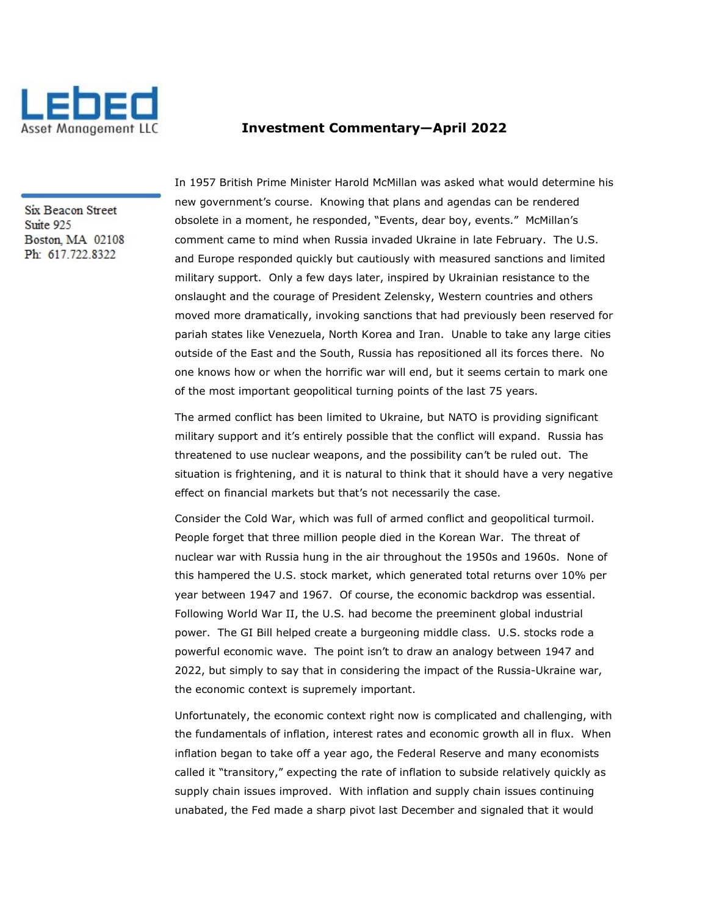

## Investment Commentary—April 2022

Six Beacon Street Suite 925 Boston, MA 02108 Ph: 617.722.8322

In 1957 British Prime Minister Harold McMillan was asked what would determine his new government's course. Knowing that plans and agendas can be rendered obsolete in a moment, he responded, "Events, dear boy, events." McMillan's comment came to mind when Russia invaded Ukraine in late February. The U.S. and Europe responded quickly but cautiously with measured sanctions and limited military support. Only a few days later, inspired by Ukrainian resistance to the onslaught and the courage of President Zelensky, Western countries and others moved more dramatically, invoking sanctions that had previously been reserved for pariah states like Venezuela, North Korea and Iran. Unable to take any large cities outside of the East and the South, Russia has repositioned all its forces there. No one knows how or when the horrific war will end, but it seems certain to mark one of the most important geopolitical turning points of the last 75 years.

The armed conflict has been limited to Ukraine, but NATO is providing significant military support and it's entirely possible that the conflict will expand. Russia has threatened to use nuclear weapons, and the possibility can't be ruled out. The situation is frightening, and it is natural to think that it should have a very negative effect on financial markets but that's not necessarily the case.

Consider the Cold War, which was full of armed conflict and geopolitical turmoil. People forget that three million people died in the Korean War. The threat of nuclear war with Russia hung in the air throughout the 1950s and 1960s. None of this hampered the U.S. stock market, which generated total returns over 10% per year between 1947 and 1967. Of course, the economic backdrop was essential. Following World War II, the U.S. had become the preeminent global industrial power. The GI Bill helped create a burgeoning middle class. U.S. stocks rode a powerful economic wave. The point isn't to draw an analogy between 1947 and 2022, but simply to say that in considering the impact of the Russia-Ukraine war, the economic context is supremely important.

Unfortunately, the economic context right now is complicated and challenging, with the fundamentals of inflation, interest rates and economic growth all in flux. When inflation began to take off a year ago, the Federal Reserve and many economists called it "transitory," expecting the rate of inflation to subside relatively quickly as supply chain issues improved. With inflation and supply chain issues continuing unabated, the Fed made a sharp pivot last December and signaled that it would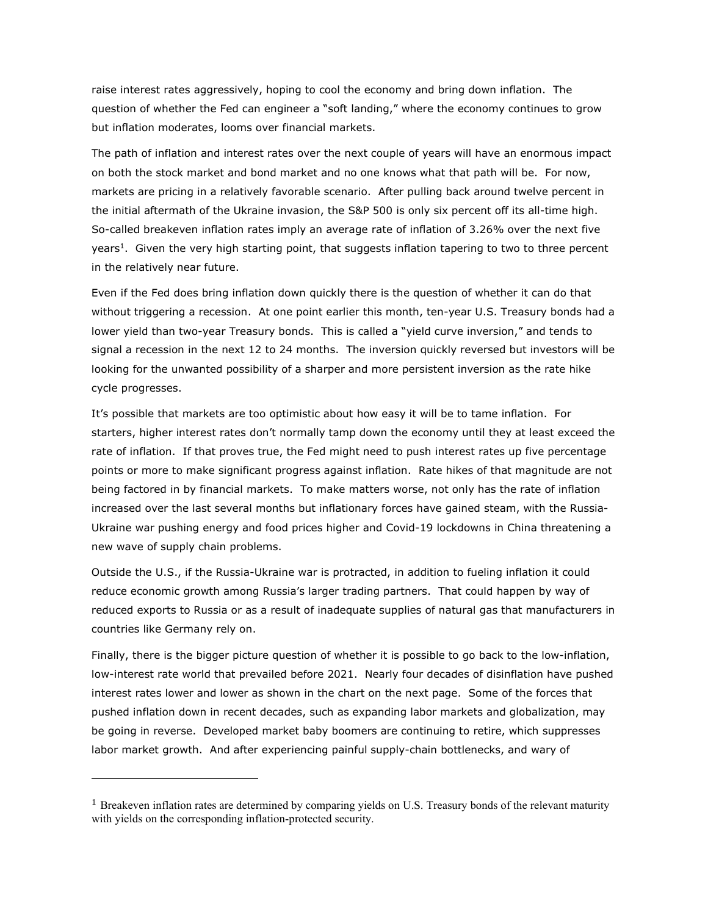raise interest rates aggressively, hoping to cool the economy and bring down inflation. The question of whether the Fed can engineer a "soft landing," where the economy continues to grow but inflation moderates, looms over financial markets.

The path of inflation and interest rates over the next couple of years will have an enormous impact on both the stock market and bond market and no one knows what that path will be. For now, markets are pricing in a relatively favorable scenario. After pulling back around twelve percent in the initial aftermath of the Ukraine invasion, the S&P 500 is only six percent off its all-time high. So-called breakeven inflation rates imply an average rate of inflation of 3.26% over the next five years<sup>1</sup>. Given the very high starting point, that suggests inflation tapering to two to three percent in the relatively near future.

Even if the Fed does bring inflation down quickly there is the question of whether it can do that without triggering a recession. At one point earlier this month, ten-year U.S. Treasury bonds had a lower yield than two-year Treasury bonds. This is called a "yield curve inversion," and tends to signal a recession in the next 12 to 24 months. The inversion quickly reversed but investors will be looking for the unwanted possibility of a sharper and more persistent inversion as the rate hike cycle progresses.

It's possible that markets are too optimistic about how easy it will be to tame inflation. For starters, higher interest rates don't normally tamp down the economy until they at least exceed the rate of inflation. If that proves true, the Fed might need to push interest rates up five percentage points or more to make significant progress against inflation. Rate hikes of that magnitude are not being factored in by financial markets. To make matters worse, not only has the rate of inflation increased over the last several months but inflationary forces have gained steam, with the Russia-Ukraine war pushing energy and food prices higher and Covid-19 lockdowns in China threatening a new wave of supply chain problems.

Outside the U.S., if the Russia-Ukraine war is protracted, in addition to fueling inflation it could reduce economic growth among Russia's larger trading partners. That could happen by way of reduced exports to Russia or as a result of inadequate supplies of natural gas that manufacturers in countries like Germany rely on.

Finally, there is the bigger picture question of whether it is possible to go back to the low-inflation, low-interest rate world that prevailed before 2021. Nearly four decades of disinflation have pushed interest rates lower and lower as shown in the chart on the next page. Some of the forces that pushed inflation down in recent decades, such as expanding labor markets and globalization, may be going in reverse. Developed market baby boomers are continuing to retire, which suppresses labor market growth. And after experiencing painful supply-chain bottlenecks, and wary of

<sup>&</sup>lt;sup>1</sup> Breakeven inflation rates are determined by comparing yields on U.S. Treasury bonds of the relevant maturity with yields on the corresponding inflation-protected security.